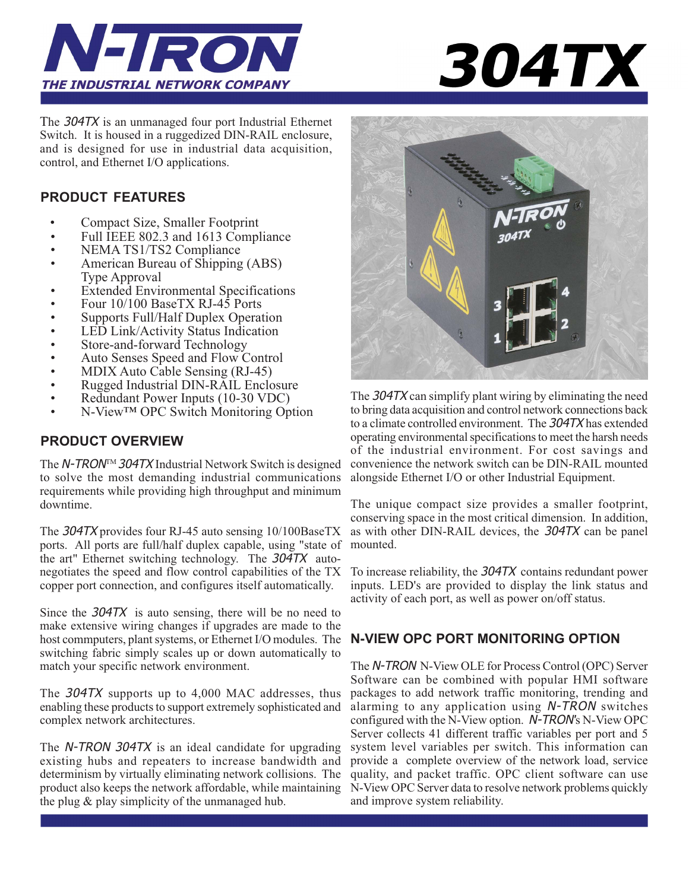

The 304TX is an unmanaged four port Industrial Ethernet Switch. It is housed in a ruggedized DIN-RAIL enclosure, and is designed for use in industrial data acquisition, control, and Ethernet I/O applications.

# **PRODUCT FEATURES**

- Compact Size, Smaller Footprint
- Full IEEE 802.3 and 1613 Compliance
- NEMA TS1/TS2 Compliance
- American Bureau of Shipping (ABS) Type Approval
- **Extended Environmental Specifications**
- Four 10/100 BaseTX RJ-45 Ports
- Supports Full/Half Duplex Operation
- LED Link/Activity Status Indication
- Store-and-forward Technology
- Auto Senses Speed and Flow Control
- MDIX Auto Cable Sensing (RJ-45)
- Rugged Industrial DIN-RAIL Enclosure
- Redundant Power Inputs (10-30 VDC)
- N-View™ OPC Switch Monitoring Option

# **PRODUCT OVERVIEW**

The N-TRON<sup>TM</sup> 304TX Industrial Network Switch is designed to solve the most demanding industrial communications requirements while providing high throughput and minimum downtime.

The 304TX provides four RJ-45 auto sensing 10/100BaseTX ports. All ports are full/half duplex capable, using "state of the art" Ethernet switching technology. The 304TX autonegotiates the speed and flow control capabilities of the TX copper port connection, and configures itself automatically.

Since the 304TX is auto sensing, there will be no need to make extensive wiring changes if upgrades are made to the host commputers, plant systems, or Ethernet I/O modules. The switching fabric simply scales up or down automatically to match your specific network environment.

The 304TX supports up to 4,000 MAC addresses, thus enabling these products to support extremely sophisticated and complex network architectures.

The N-TRON 304TX is an ideal candidate for upgrading existing hubs and repeaters to increase bandwidth and determinism by virtually eliminating network collisions. The product also keeps the network affordable, while maintaining the plug & play simplicity of the unmanaged hub.

# **304TX**



The 304TX can simplify plant wiring by eliminating the need to bring data acquisition and control network connections back to a climate controlled environment. The 304TX has extended operating environmental specifications to meet the harsh needs of the industrial environment. For cost savings and convenience the network switch can be DIN-RAIL mounted alongside Ethernet I/O or other Industrial Equipment.

The unique compact size provides a smaller footprint, conserving space in the most critical dimension. In addition, as with other DIN-RAIL devices, the 304TX can be panel mounted.

To increase reliability, the 304TX contains redundant power inputs. LED's are provided to display the link status and activity of each port, as well as power on/off status.

## **N-VIEW OPC PORT MONITORING OPTION**

The N-TRON N-View OLE for Process Control (OPC) Server Software can be combined with popular HMI software packages to add network traffic monitoring, trending and alarming to any application using N-TRON switches configured with the N-View option. N-TRON*'*s N-View OPC Server collects 41 different traffic variables per port and 5 system level variables per switch. This information can provide a complete overview of the network load, service quality, and packet traffic. OPC client software can use N-View OPC Server data to resolve network problems quickly and improve system reliability.